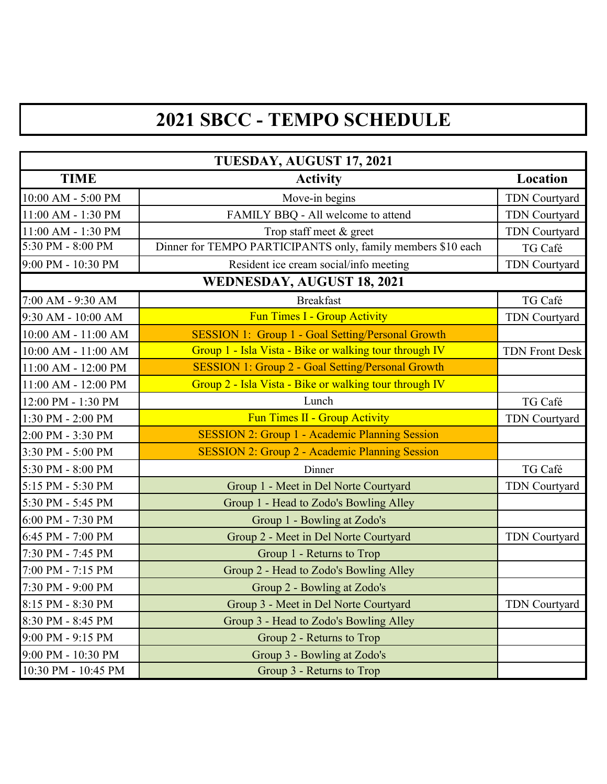## **2021 SBCC - TEMPO SCHEDULE**

| TUESDAY, AUGUST 17, 2021   |                                                              |                       |  |
|----------------------------|--------------------------------------------------------------|-----------------------|--|
| <b>TIME</b>                | <b>Activity</b>                                              | Location              |  |
| 10:00 AM - 5:00 PM         | Move-in begins                                               | TDN Courtyard         |  |
| 11:00 AM - 1:30 PM         | FAMILY BBQ - All welcome to attend                           | <b>TDN Courtyard</b>  |  |
| 11:00 AM - 1:30 PM         | Trop staff meet & greet                                      | TDN Courtyard         |  |
| 5:30 PM - 8:00 PM          | Dinner for TEMPO PARTICIPANTS only, family members \$10 each | TG Café               |  |
| 9:00 PM - 10:30 PM         | Resident ice cream social/info meeting                       | TDN Courtyard         |  |
| WEDNESDAY, AUGUST 18, 2021 |                                                              |                       |  |
| 7:00 AM - 9:30 AM          | <b>Breakfast</b>                                             | TG Café               |  |
| 9:30 AM - 10:00 AM         | Fun Times I - Group Activity                                 | TDN Courtyard         |  |
| 10:00 AM - 11:00 AM        | SESSION 1: Group 1 - Goal Setting/Personal Growth            |                       |  |
| 10:00 AM - 11:00 AM        | Group 1 - Isla Vista - Bike or walking tour through IV       | <b>TDN Front Desk</b> |  |
| 11:00 AM - 12:00 PM        | SESSION 1: Group 2 - Goal Setting/Personal Growth            |                       |  |
| 11:00 AM - 12:00 PM        | Group 2 - Isla Vista - Bike or walking tour through IV       |                       |  |
| 12:00 PM - 1:30 PM         | Lunch                                                        | TG Café               |  |
| 1:30 PM - 2:00 PM          | <b>Fun Times II - Group Activity</b>                         | TDN Courtyard         |  |
| 2:00 PM - 3:30 PM          | SESSION 2: Group 1 - Academic Planning Session               |                       |  |
| 3:30 PM - 5:00 PM          | SESSION 2: Group 2 - Academic Planning Session               |                       |  |
| 5:30 PM - 8:00 PM          | Dinner                                                       | TG Café               |  |
| 5:15 PM - 5:30 PM          | Group 1 - Meet in Del Norte Courtyard                        | TDN Courtyard         |  |
| 5:30 PM - 5:45 PM          | Group 1 - Head to Zodo's Bowling Alley                       |                       |  |
| 6:00 PM - 7:30 PM          | Group 1 - Bowling at Zodo's                                  |                       |  |
| 6:45 PM - 7:00 PM          | Group 2 - Meet in Del Norte Courtyard                        | TDN Courtyard         |  |
| 7:30 PM - 7:45 PM          | Group 1 - Returns to Trop                                    |                       |  |
| 7:00 PM - 7:15 PM          | Group 2 - Head to Zodo's Bowling Alley                       |                       |  |
| 7:30 PM - 9:00 PM          | Group 2 - Bowling at Zodo's                                  |                       |  |
| 8:15 PM - 8:30 PM          | Group 3 - Meet in Del Norte Courtyard                        | TDN Courtyard         |  |
| 8:30 PM - 8:45 PM          | Group 3 - Head to Zodo's Bowling Alley                       |                       |  |
| 9:00 PM - 9:15 PM          | Group 2 - Returns to Trop                                    |                       |  |
| 9:00 PM - 10:30 PM         | Group 3 - Bowling at Zodo's                                  |                       |  |
| 10:30 PM - 10:45 PM        | Group 3 - Returns to Trop                                    |                       |  |